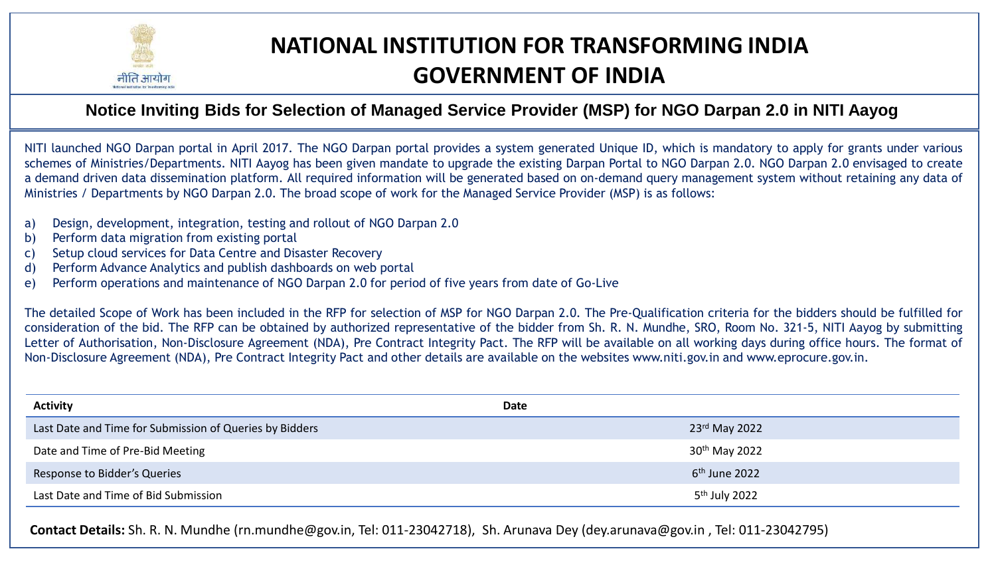

# **NATIONAL INSTITUTION FOR TRANSFORMING INDIA GOVERNMENT OF INDIA**

# **Notice Inviting Bids for Selection of Managed Service Provider (MSP) for NGO Darpan 2.0 in NITI Aayog**

NITI launched NGO Darpan portal in April 2017. The NGO Darpan portal provides a system generated Unique ID, which is mandatory to apply for grants under various schemes of Ministries/Departments. NITI Aayog has been given mandate to upgrade the existing Darpan Portal to NGO Darpan 2.0. NGO Darpan 2.0 envisaged to create a demand driven data dissemination platform. All required information will be generated based on on-demand query management system without retaining any data of Ministries / Departments by NGO Darpan 2.0. The broad scope of work for the Managed Service Provider (MSP) is as follows:

- a) Design, development, integration, testing and rollout of NGO Darpan 2.0
- b) Perform data migration from existing portal
- c) Setup cloud services for Data Centre and Disaster Recovery
- d) Perform Advance Analytics and publish dashboards on web portal
- e) Perform operations and maintenance of NGO Darpan 2.0 for period of five years from date of Go-Live

The detailed Scope of Work has been included in the RFP for selection of MSP for NGO Darpan 2.0. The Pre-Qualification criteria for the bidders should be fulfilled for consideration of the bid. The RFP can be obtained by authorized representative of the bidder from Sh. R. N. Mundhe, SRO, Room No. 321-5, NITI Aayog by submitting Letter of Authorisation, Non-Disclosure Agreement (NDA), Pre Contract Integrity Pact. The RFP will be available on all working days during office hours. The format of Non-Disclosure Agreement (NDA), Pre Contract Integrity Pact and other details are available on the websites www.niti.gov.in and www.eprocure.gov.in.

| <b>Activity</b>                                         | Date                      |
|---------------------------------------------------------|---------------------------|
| Last Date and Time for Submission of Queries by Bidders | 23rd May 2022             |
| Date and Time of Pre-Bid Meeting                        | 30 <sup>th</sup> May 2022 |
| Response to Bidder's Queries                            | $6th$ June 2022           |
| Last Date and Time of Bid Submission                    | 5 <sup>th</sup> July 2022 |

**Contact Details:** Sh. R. N. Mundhe (rn.mundhe@gov.in, Tel: 011-23042718), Sh. Arunava Dey (dey.arunava@gov.in , Tel: 011-23042795)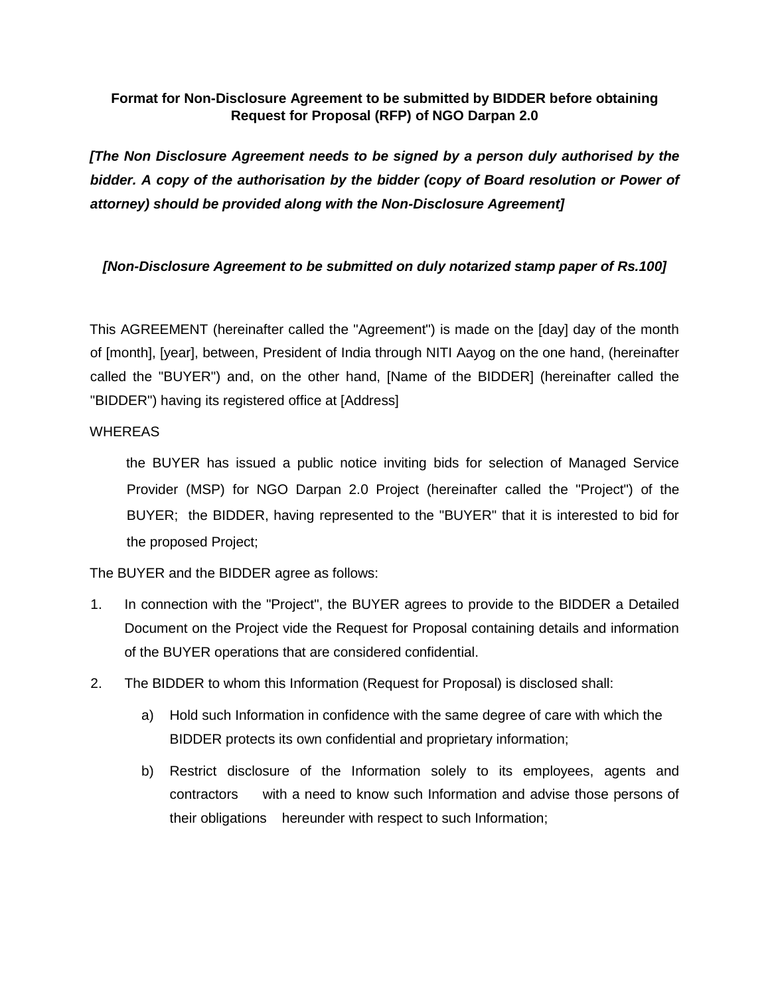#### **Format for Non-Disclosure Agreement to be submitted by BIDDER before obtaining Request for Proposal (RFP) of NGO Darpan 2.0**

*[The Non Disclosure Agreement needs to be signed by a person duly authorised by the bidder. A copy of the authorisation by the bidder (copy of Board resolution or Power of attorney) should be provided along with the Non-Disclosure Agreement]* 

#### *[Non-Disclosure Agreement to be submitted on duly notarized stamp paper of Rs.100]*

This AGREEMENT (hereinafter called the "Agreement") is made on the [day] day of the month of [month], [year], between, President of India through NITI Aayog on the one hand, (hereinafter called the "BUYER") and, on the other hand, [Name of the BIDDER] (hereinafter called the "BIDDER") having its registered office at [Address]

#### **WHEREAS**

the BUYER has issued a public notice inviting bids for selection of Managed Service Provider (MSP) for NGO Darpan 2.0 Project (hereinafter called the "Project") of the BUYER; the BIDDER, having represented to the "BUYER" that it is interested to bid for the proposed Project;

The BUYER and the BIDDER agree as follows:

- 1. In connection with the "Project", the BUYER agrees to provide to the BIDDER a Detailed Document on the Project vide the Request for Proposal containing details and information of the BUYER operations that are considered confidential.
- 2. The BIDDER to whom this Information (Request for Proposal) is disclosed shall:
	- a) Hold such Information in confidence with the same degree of care with which the BIDDER protects its own confidential and proprietary information;
	- b) Restrict disclosure of the Information solely to its employees, agents and contractors with a need to know such Information and advise those persons of their obligations hereunder with respect to such Information;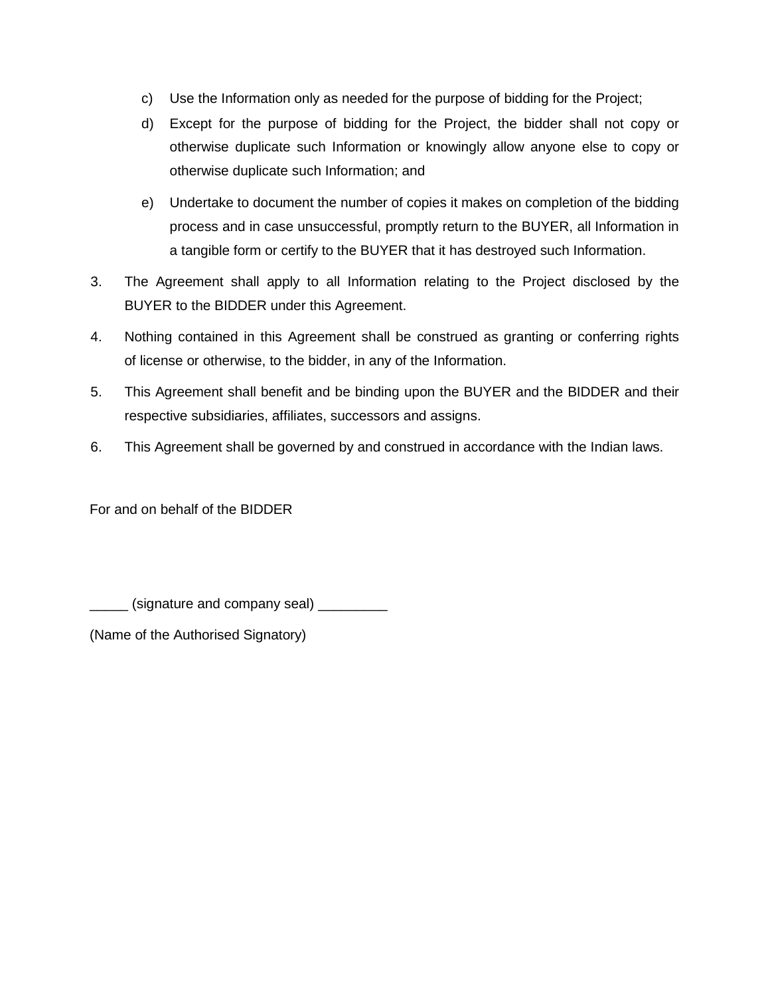- c) Use the Information only as needed for the purpose of bidding for the Project;
- d) Except for the purpose of bidding for the Project, the bidder shall not copy or otherwise duplicate such Information or knowingly allow anyone else to copy or otherwise duplicate such Information; and
- e) Undertake to document the number of copies it makes on completion of the bidding process and in case unsuccessful, promptly return to the BUYER, all Information in a tangible form or certify to the BUYER that it has destroyed such Information.
- 3. The Agreement shall apply to all Information relating to the Project disclosed by the BUYER to the BIDDER under this Agreement.
- 4. Nothing contained in this Agreement shall be construed as granting or conferring rights of license or otherwise, to the bidder, in any of the Information.
- 5. This Agreement shall benefit and be binding upon the BUYER and the BIDDER and their respective subsidiaries, affiliates, successors and assigns.
- 6. This Agreement shall be governed by and construed in accordance with the Indian laws.

For and on behalf of the BIDDER

(signature and company seal) \_\_\_\_\_\_\_\_\_

(Name of the Authorised Signatory)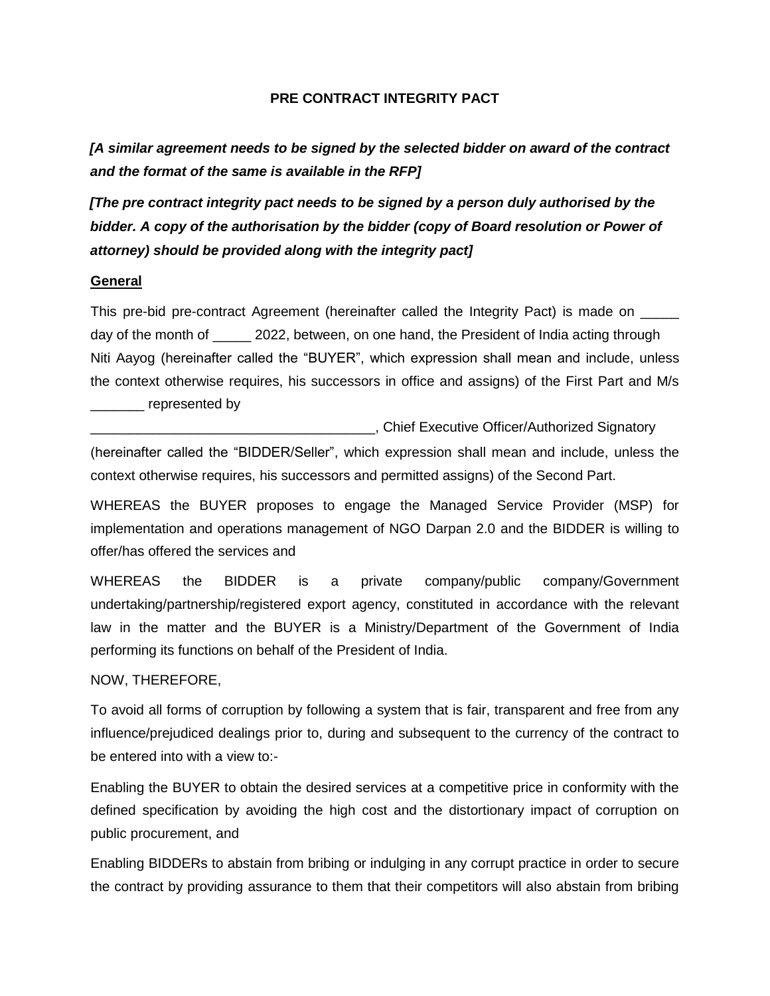#### **PRE CONTRACT INTEGRITY PACT**

*[A similar agreement needs to be signed by the selected bidder on award of the contract and the format of the same is available in the RFP]* 

*[The pre contract integrity pact needs to be signed by a person duly authorised by the bidder. A copy of the authorisation by the bidder (copy of Board resolution or Power of attorney) should be provided along with the integrity pact]* 

#### **General**

This pre-bid pre-contract Agreement (hereinafter called the Integrity Pact) is made on \_\_\_\_\_ day of the month of 2022, between, on one hand, the President of India acting through Niti Aayog (hereinafter called the "BUYER", which expression shall mean and include, unless the context otherwise requires, his successors in office and assigns) of the First Part and M/s \_\_\_\_\_\_\_ represented by

\_\_\_\_\_\_\_\_\_\_\_\_\_\_\_\_\_\_\_\_\_\_\_\_\_\_\_\_\_\_\_\_\_\_\_\_\_, Chief Executive Officer/Authorized Signatory (hereinafter called the "BIDDER/Seller", which expression shall mean and include, unless the context otherwise requires, his successors and permitted assigns) of the Second Part.

WHEREAS the BUYER proposes to engage the Managed Service Provider (MSP) for implementation and operations management of NGO Darpan 2.0 and the BIDDER is willing to offer/has offered the services and

WHEREAS the BIDDER is a private company/public company/Government undertaking/partnership/registered export agency, constituted in accordance with the relevant law in the matter and the BUYER is a Ministry/Department of the Government of India performing its functions on behalf of the President of India.

NOW, THEREFORE,

To avoid all forms of corruption by following a system that is fair, transparent and free from any influence/prejudiced dealings prior to, during and subsequent to the currency of the contract to be entered into with a view to:-

Enabling the BUYER to obtain the desired services at a competitive price in conformity with the defined specification by avoiding the high cost and the distortionary impact of corruption on public procurement, and

Enabling BIDDERs to abstain from bribing or indulging in any corrupt practice in order to secure the contract by providing assurance to them that their competitors will also abstain from bribing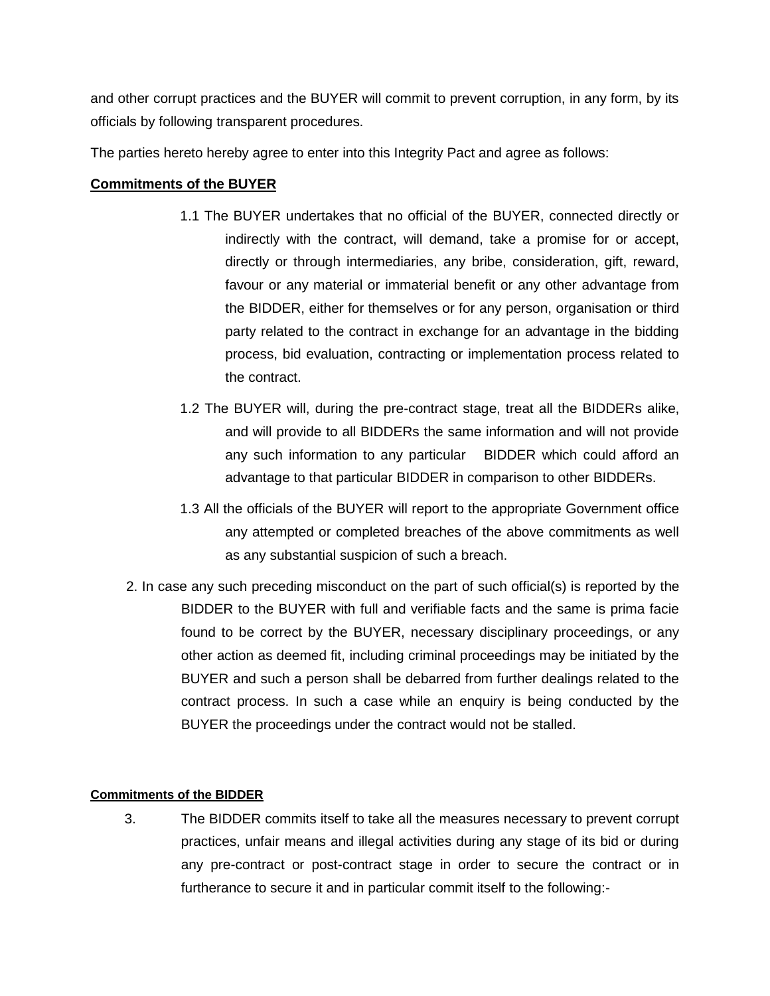and other corrupt practices and the BUYER will commit to prevent corruption, in any form, by its officials by following transparent procedures.

The parties hereto hereby agree to enter into this Integrity Pact and agree as follows:

#### **Commitments of the BUYER**

- 1.1 The BUYER undertakes that no official of the BUYER, connected directly or indirectly with the contract, will demand, take a promise for or accept, directly or through intermediaries, any bribe, consideration, gift, reward, favour or any material or immaterial benefit or any other advantage from the BIDDER, either for themselves or for any person, organisation or third party related to the contract in exchange for an advantage in the bidding process, bid evaluation, contracting or implementation process related to the contract.
- 1.2 The BUYER will, during the pre-contract stage, treat all the BIDDERs alike, and will provide to all BIDDERs the same information and will not provide any such information to any particular BIDDER which could afford an advantage to that particular BIDDER in comparison to other BIDDERs.
- 1.3 All the officials of the BUYER will report to the appropriate Government office any attempted or completed breaches of the above commitments as well as any substantial suspicion of such a breach.
- 2. In case any such preceding misconduct on the part of such official(s) is reported by the BIDDER to the BUYER with full and verifiable facts and the same is prima facie found to be correct by the BUYER, necessary disciplinary proceedings, or any other action as deemed fit, including criminal proceedings may be initiated by the BUYER and such a person shall be debarred from further dealings related to the contract process. In such a case while an enquiry is being conducted by the BUYER the proceedings under the contract would not be stalled.

#### **Commitments of the BIDDER**

3. The BIDDER commits itself to take all the measures necessary to prevent corrupt practices, unfair means and illegal activities during any stage of its bid or during any pre-contract or post-contract stage in order to secure the contract or in furtherance to secure it and in particular commit itself to the following:-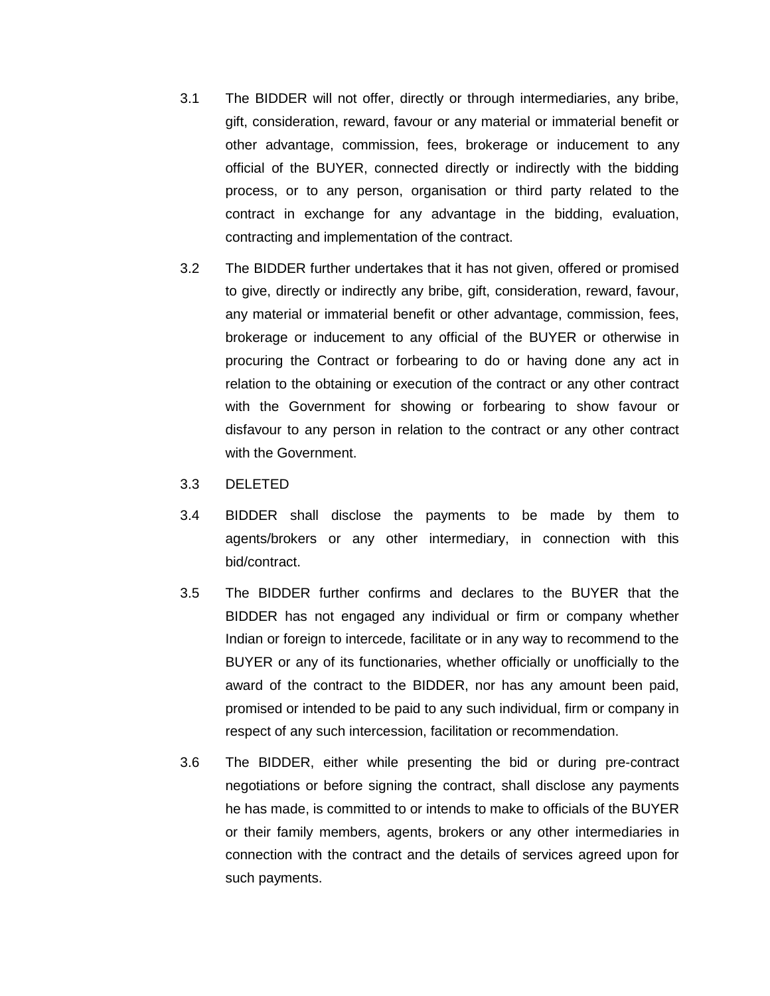- 3.1 The BIDDER will not offer, directly or through intermediaries, any bribe, gift, consideration, reward, favour or any material or immaterial benefit or other advantage, commission, fees, brokerage or inducement to any official of the BUYER, connected directly or indirectly with the bidding process, or to any person, organisation or third party related to the contract in exchange for any advantage in the bidding, evaluation, contracting and implementation of the contract.
- 3.2 The BIDDER further undertakes that it has not given, offered or promised to give, directly or indirectly any bribe, gift, consideration, reward, favour, any material or immaterial benefit or other advantage, commission, fees, brokerage or inducement to any official of the BUYER or otherwise in procuring the Contract or forbearing to do or having done any act in relation to the obtaining or execution of the contract or any other contract with the Government for showing or forbearing to show favour or disfavour to any person in relation to the contract or any other contract with the Government.
- 3.3 DELETED
- 3.4 BIDDER shall disclose the payments to be made by them to agents/brokers or any other intermediary, in connection with this bid/contract.
- 3.5 The BIDDER further confirms and declares to the BUYER that the BIDDER has not engaged any individual or firm or company whether Indian or foreign to intercede, facilitate or in any way to recommend to the BUYER or any of its functionaries, whether officially or unofficially to the award of the contract to the BIDDER, nor has any amount been paid, promised or intended to be paid to any such individual, firm or company in respect of any such intercession, facilitation or recommendation.
- 3.6 The BIDDER, either while presenting the bid or during pre-contract negotiations or before signing the contract, shall disclose any payments he has made, is committed to or intends to make to officials of the BUYER or their family members, agents, brokers or any other intermediaries in connection with the contract and the details of services agreed upon for such payments.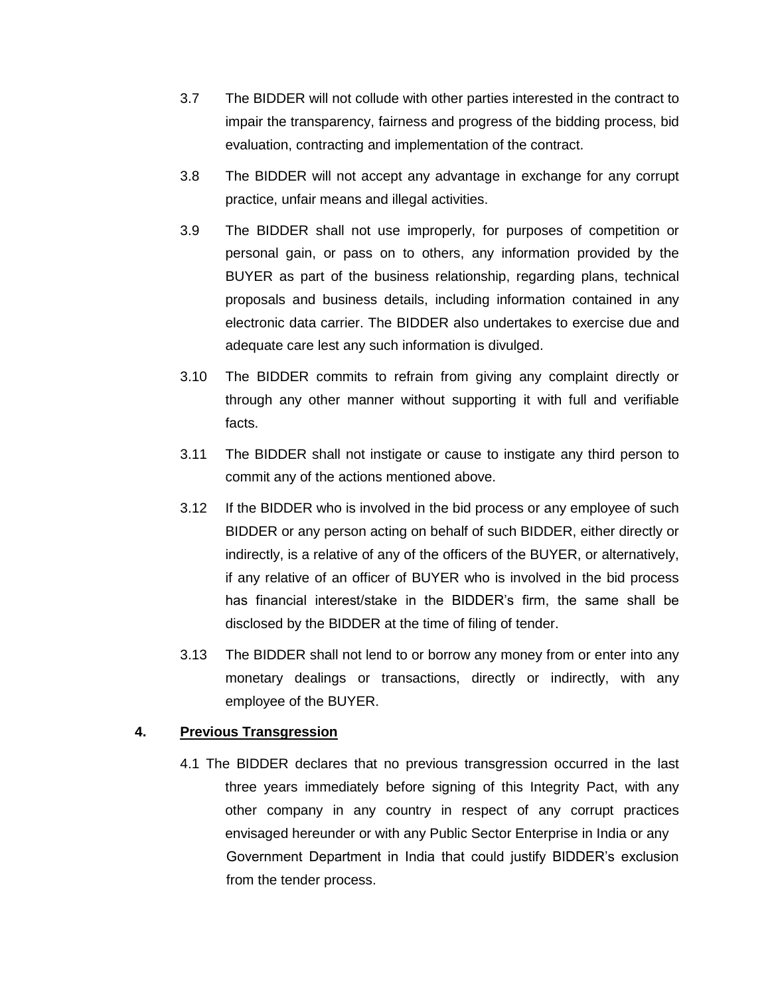- 3.7 The BIDDER will not collude with other parties interested in the contract to impair the transparency, fairness and progress of the bidding process, bid evaluation, contracting and implementation of the contract.
- 3.8 The BIDDER will not accept any advantage in exchange for any corrupt practice, unfair means and illegal activities.
- 3.9 The BIDDER shall not use improperly, for purposes of competition or personal gain, or pass on to others, any information provided by the BUYER as part of the business relationship, regarding plans, technical proposals and business details, including information contained in any electronic data carrier. The BIDDER also undertakes to exercise due and adequate care lest any such information is divulged.
- 3.10 The BIDDER commits to refrain from giving any complaint directly or through any other manner without supporting it with full and verifiable facts.
- 3.11 The BIDDER shall not instigate or cause to instigate any third person to commit any of the actions mentioned above.
- 3.12 If the BIDDER who is involved in the bid process or any employee of such BIDDER or any person acting on behalf of such BIDDER, either directly or indirectly, is a relative of any of the officers of the BUYER, or alternatively, if any relative of an officer of BUYER who is involved in the bid process has financial interest/stake in the BIDDER's firm, the same shall be disclosed by the BIDDER at the time of filing of tender.
- 3.13 The BIDDER shall not lend to or borrow any money from or enter into any monetary dealings or transactions, directly or indirectly, with any employee of the BUYER.

#### **4. Previous Transgression**

4.1 The BIDDER declares that no previous transgression occurred in the last three years immediately before signing of this Integrity Pact, with any other company in any country in respect of any corrupt practices envisaged hereunder or with any Public Sector Enterprise in India or any Government Department in India that could justify BIDDER's exclusion from the tender process.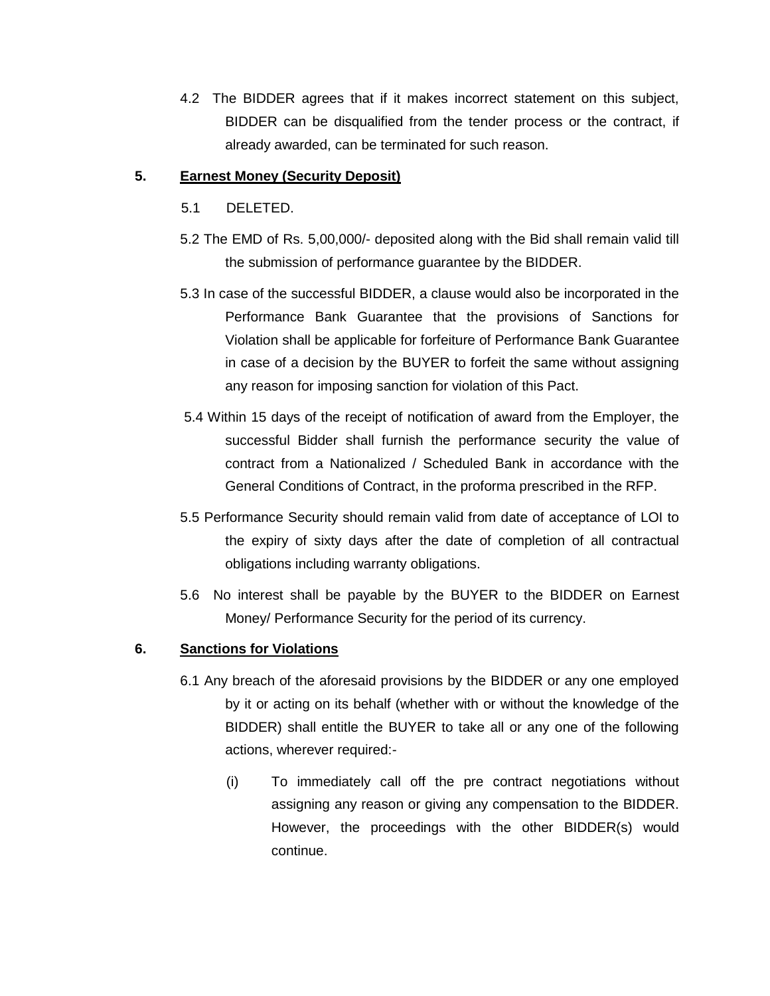4.2 The BIDDER agrees that if it makes incorrect statement on this subject, BIDDER can be disqualified from the tender process or the contract, if already awarded, can be terminated for such reason.

#### **5. Earnest Money (Security Deposit)**

- 5.1 DELETED.
- 5.2 The EMD of Rs. 5,00,000/- deposited along with the Bid shall remain valid till the submission of performance guarantee by the BIDDER.
- 5.3 In case of the successful BIDDER, a clause would also be incorporated in the Performance Bank Guarantee that the provisions of Sanctions for Violation shall be applicable for forfeiture of Performance Bank Guarantee in case of a decision by the BUYER to forfeit the same without assigning any reason for imposing sanction for violation of this Pact.
- 5.4 Within 15 days of the receipt of notification of award from the Employer, the successful Bidder shall furnish the performance security the value of contract from a Nationalized / Scheduled Bank in accordance with the General Conditions of Contract, in the proforma prescribed in the RFP.
- 5.5 Performance Security should remain valid from date of acceptance of LOI to the expiry of sixty days after the date of completion of all contractual obligations including warranty obligations.
- 5.6 No interest shall be payable by the BUYER to the BIDDER on Earnest Money/ Performance Security for the period of its currency.

# **6. Sanctions for Violations**

- 6.1 Any breach of the aforesaid provisions by the BIDDER or any one employed by it or acting on its behalf (whether with or without the knowledge of the BIDDER) shall entitle the BUYER to take all or any one of the following actions, wherever required:-
	- (i) To immediately call off the pre contract negotiations without assigning any reason or giving any compensation to the BIDDER. However, the proceedings with the other BIDDER(s) would continue.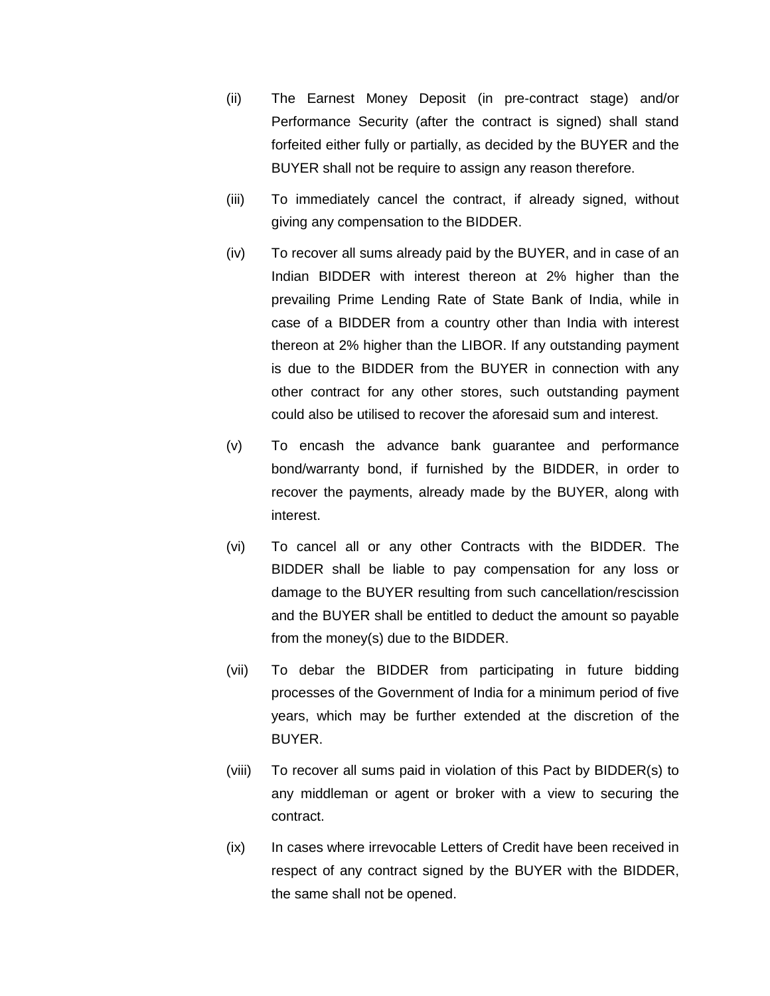- (ii) The Earnest Money Deposit (in pre-contract stage) and/or Performance Security (after the contract is signed) shall stand forfeited either fully or partially, as decided by the BUYER and the BUYER shall not be require to assign any reason therefore.
- (iii) To immediately cancel the contract, if already signed, without giving any compensation to the BIDDER.
- (iv) To recover all sums already paid by the BUYER, and in case of an Indian BIDDER with interest thereon at 2% higher than the prevailing Prime Lending Rate of State Bank of India, while in case of a BIDDER from a country other than India with interest thereon at 2% higher than the LIBOR. If any outstanding payment is due to the BIDDER from the BUYER in connection with any other contract for any other stores, such outstanding payment could also be utilised to recover the aforesaid sum and interest.
- (v) To encash the advance bank guarantee and performance bond/warranty bond, if furnished by the BIDDER, in order to recover the payments, already made by the BUYER, along with interest.
- (vi) To cancel all or any other Contracts with the BIDDER. The BIDDER shall be liable to pay compensation for any loss or damage to the BUYER resulting from such cancellation/rescission and the BUYER shall be entitled to deduct the amount so payable from the money(s) due to the BIDDER.
- (vii) To debar the BIDDER from participating in future bidding processes of the Government of India for a minimum period of five years, which may be further extended at the discretion of the BUYER.
- (viii) To recover all sums paid in violation of this Pact by BIDDER(s) to any middleman or agent or broker with a view to securing the contract.
- (ix) In cases where irrevocable Letters of Credit have been received in respect of any contract signed by the BUYER with the BIDDER, the same shall not be opened.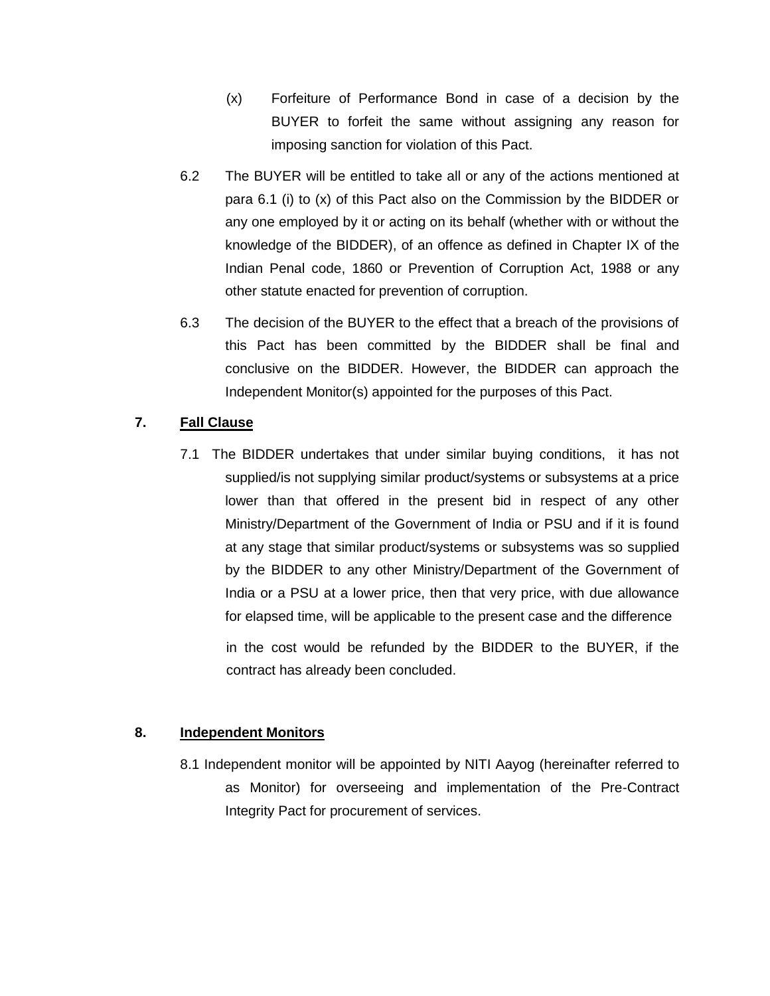- (x) Forfeiture of Performance Bond in case of a decision by the BUYER to forfeit the same without assigning any reason for imposing sanction for violation of this Pact.
- 6.2 The BUYER will be entitled to take all or any of the actions mentioned at para 6.1 (i) to (x) of this Pact also on the Commission by the BIDDER or any one employed by it or acting on its behalf (whether with or without the knowledge of the BIDDER), of an offence as defined in Chapter IX of the Indian Penal code, 1860 or Prevention of Corruption Act, 1988 or any other statute enacted for prevention of corruption.
- 6.3 The decision of the BUYER to the effect that a breach of the provisions of this Pact has been committed by the BIDDER shall be final and conclusive on the BIDDER. However, the BIDDER can approach the Independent Monitor(s) appointed for the purposes of this Pact.

# **7. Fall Clause**

7.1 The BIDDER undertakes that under similar buying conditions, it has not supplied/is not supplying similar product/systems or subsystems at a price lower than that offered in the present bid in respect of any other Ministry/Department of the Government of India or PSU and if it is found at any stage that similar product/systems or subsystems was so supplied by the BIDDER to any other Ministry/Department of the Government of India or a PSU at a lower price, then that very price, with due allowance for elapsed time, will be applicable to the present case and the difference

in the cost would be refunded by the BIDDER to the BUYER, if the contract has already been concluded.

# **8. Independent Monitors**

8.1 Independent monitor will be appointed by NITI Aayog (hereinafter referred to as Monitor) for overseeing and implementation of the Pre-Contract Integrity Pact for procurement of services.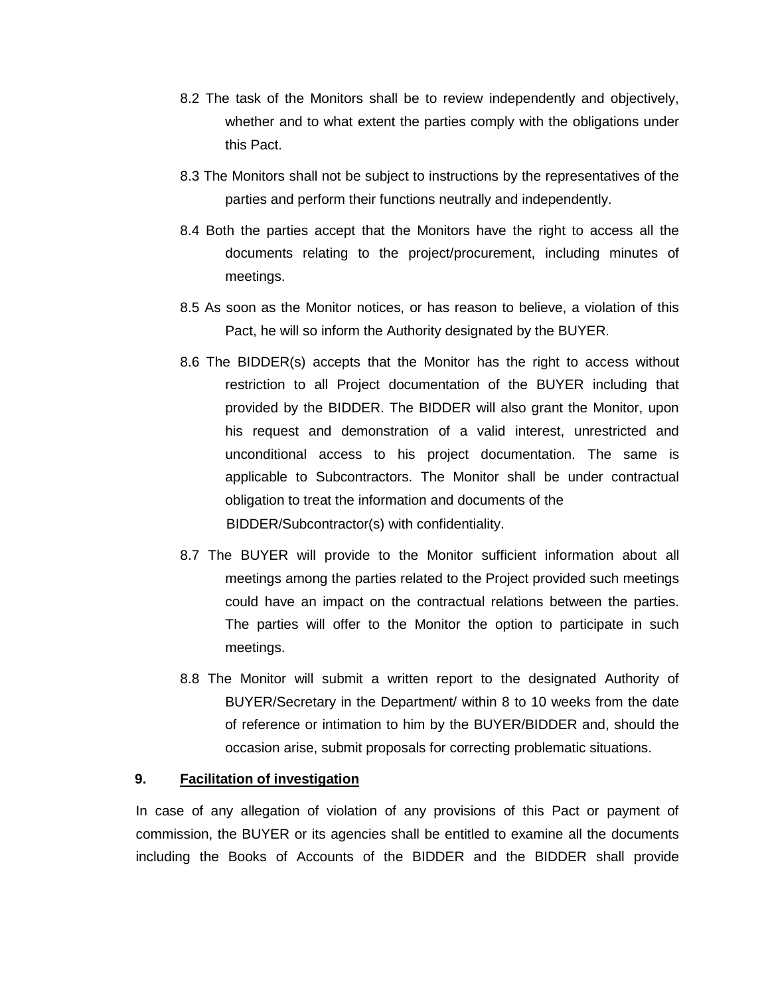- 8.2 The task of the Monitors shall be to review independently and objectively, whether and to what extent the parties comply with the obligations under this Pact.
- 8.3 The Monitors shall not be subject to instructions by the representatives of the parties and perform their functions neutrally and independently.
- 8.4 Both the parties accept that the Monitors have the right to access all the documents relating to the project/procurement, including minutes of meetings.
- 8.5 As soon as the Monitor notices, or has reason to believe, a violation of this Pact, he will so inform the Authority designated by the BUYER.
- 8.6 The BIDDER(s) accepts that the Monitor has the right to access without restriction to all Project documentation of the BUYER including that provided by the BIDDER. The BIDDER will also grant the Monitor, upon his request and demonstration of a valid interest, unrestricted and unconditional access to his project documentation. The same is applicable to Subcontractors. The Monitor shall be under contractual obligation to treat the information and documents of the BIDDER/Subcontractor(s) with confidentiality.
- 8.7 The BUYER will provide to the Monitor sufficient information about all meetings among the parties related to the Project provided such meetings could have an impact on the contractual relations between the parties. The parties will offer to the Monitor the option to participate in such meetings.
- 8.8 The Monitor will submit a written report to the designated Authority of BUYER/Secretary in the Department/ within 8 to 10 weeks from the date of reference or intimation to him by the BUYER/BIDDER and, should the occasion arise, submit proposals for correcting problematic situations.

#### **9. Facilitation of investigation**

In case of any allegation of violation of any provisions of this Pact or payment of commission, the BUYER or its agencies shall be entitled to examine all the documents including the Books of Accounts of the BIDDER and the BIDDER shall provide